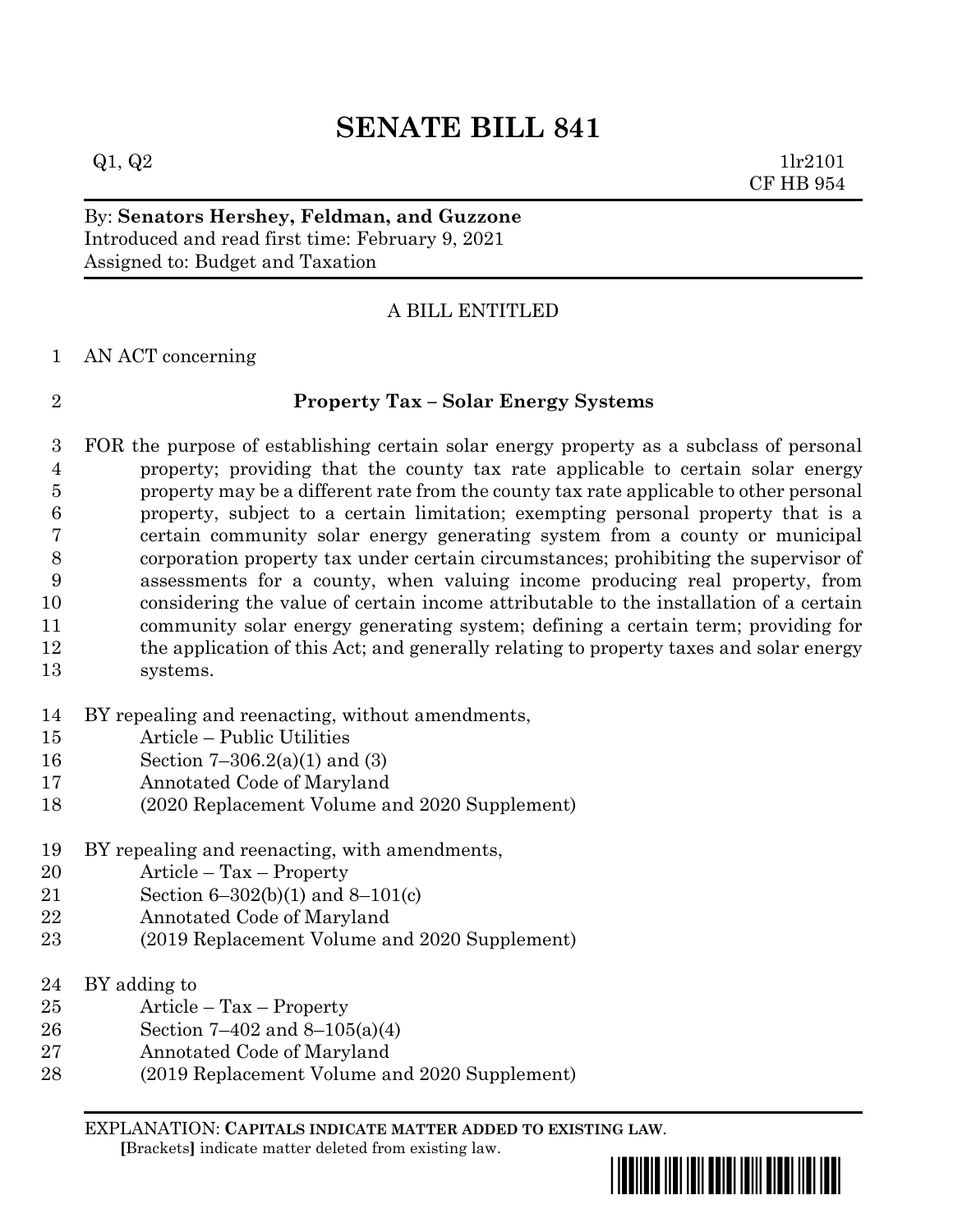# **SENATE BILL 841**

 $Q1, Q2$  1lr2101 CF HB 954

By: **Senators Hershey, Feldman, and Guzzone** Introduced and read first time: February 9, 2021 Assigned to: Budget and Taxation

## A BILL ENTITLED

AN ACT concerning

### **Property Tax – Solar Energy Systems**

 FOR the purpose of establishing certain solar energy property as a subclass of personal property; providing that the county tax rate applicable to certain solar energy property may be a different rate from the county tax rate applicable to other personal property, subject to a certain limitation; exempting personal property that is a certain community solar energy generating system from a county or municipal corporation property tax under certain circumstances; prohibiting the supervisor of assessments for a county, when valuing income producing real property, from considering the value of certain income attributable to the installation of a certain community solar energy generating system; defining a certain term; providing for the application of this Act; and generally relating to property taxes and solar energy systems.

- BY repealing and reenacting, without amendments,
- Article Public Utilities
- Section 7–306.2(a)(1) and (3)
- Annotated Code of Maryland
- (2020 Replacement Volume and 2020 Supplement)
- BY repealing and reenacting, with amendments,
- Article Tax Property
- Section 6–302(b)(1) and 8–101(c)
- Annotated Code of Maryland
- (2019 Replacement Volume and 2020 Supplement)
- BY adding to
- Article Tax Property
- Section 7–402 and 8–105(a)(4)
- Annotated Code of Maryland
- (2019 Replacement Volume and 2020 Supplement)

EXPLANATION: **CAPITALS INDICATE MATTER ADDED TO EXISTING LAW**.  **[**Brackets**]** indicate matter deleted from existing law.



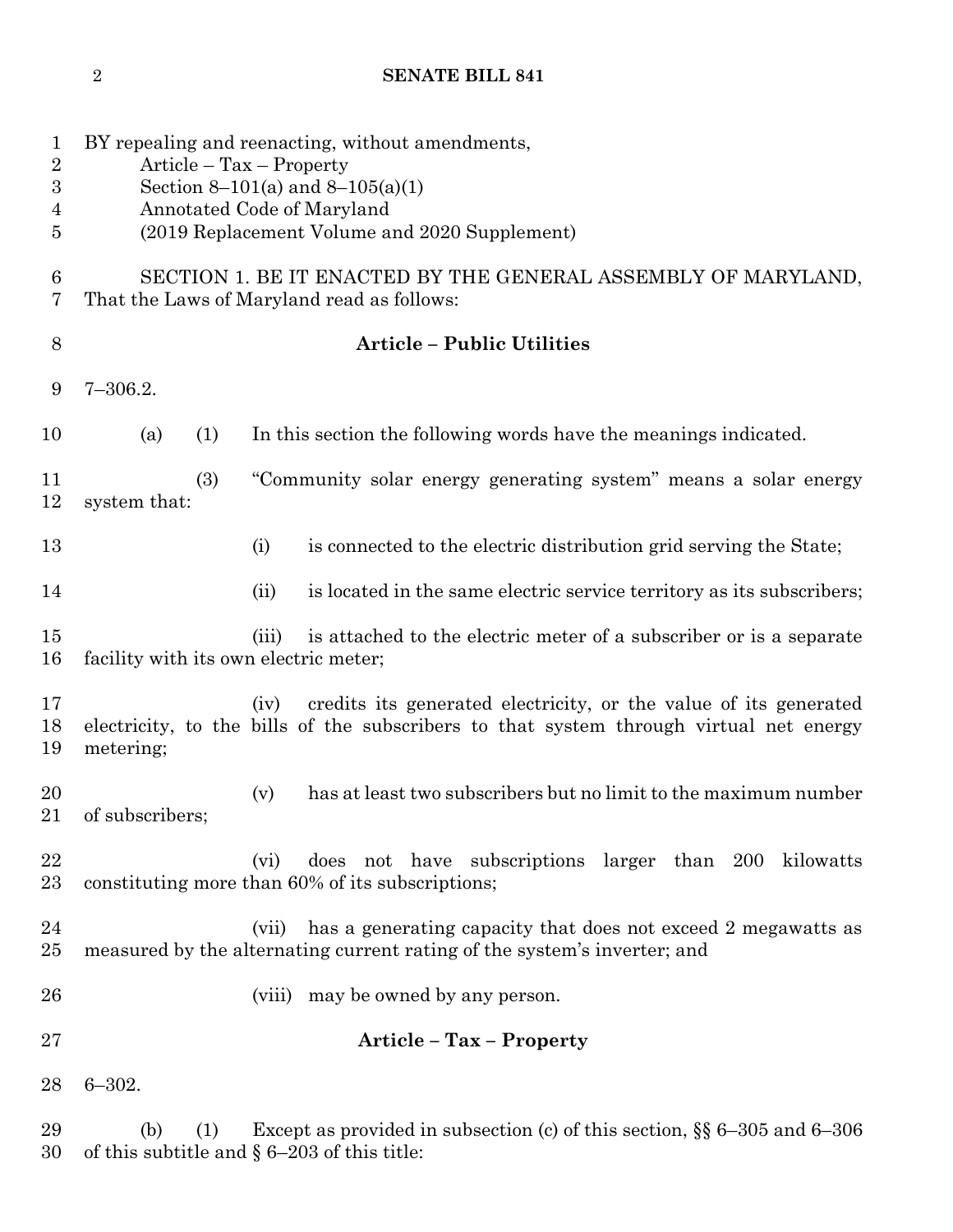## **SENATE BILL 841**

| 1<br>$\sqrt{2}$<br>$\overline{3}$<br>4<br>5 | BY repealing and reenacting, without amendments,<br>$Article - Tax - Property$<br>Section 8–101(a) and 8–105(a)(1)<br>Annotated Code of Maryland<br>(2019 Replacement Volume and 2020 Supplement) |                                                                                                                                                                    |
|---------------------------------------------|---------------------------------------------------------------------------------------------------------------------------------------------------------------------------------------------------|--------------------------------------------------------------------------------------------------------------------------------------------------------------------|
| $\boldsymbol{6}$<br>7                       | SECTION 1. BE IT ENACTED BY THE GENERAL ASSEMBLY OF MARYLAND,<br>That the Laws of Maryland read as follows:                                                                                       |                                                                                                                                                                    |
| 8                                           |                                                                                                                                                                                                   | <b>Article - Public Utilities</b>                                                                                                                                  |
| 9                                           | $7 - 306.2.$                                                                                                                                                                                      |                                                                                                                                                                    |
| 10                                          | (a)<br>(1)                                                                                                                                                                                        | In this section the following words have the meanings indicated.                                                                                                   |
| 11<br>12                                    | (3)<br>system that:                                                                                                                                                                               | "Community solar energy generating system" means a solar energy                                                                                                    |
| 13                                          |                                                                                                                                                                                                   | is connected to the electric distribution grid serving the State;<br>(i)                                                                                           |
| 14                                          |                                                                                                                                                                                                   | is located in the same electric service territory as its subscribers;<br>(ii)                                                                                      |
| 15<br>16                                    | facility with its own electric meter;                                                                                                                                                             | is attached to the electric meter of a subscriber or is a separate<br>(iii)                                                                                        |
| 17<br>18<br>19                              | metering;                                                                                                                                                                                         | credits its generated electricity, or the value of its generated<br>(iv)<br>electricity, to the bills of the subscribers to that system through virtual net energy |
| 20<br>21                                    | of subscribers;                                                                                                                                                                                   | has at least two subscribers but no limit to the maximum number<br>(v)                                                                                             |
| 22<br>23                                    |                                                                                                                                                                                                   | does not have subscriptions larger than 200 kilowatts<br>(vi)<br>constituting more than 60% of its subscriptions;                                                  |
| 24<br>25                                    |                                                                                                                                                                                                   | has a generating capacity that does not exceed 2 megawatts as<br>(vii)<br>measured by the alternating current rating of the system's inverter; and                 |
| 26                                          |                                                                                                                                                                                                   | may be owned by any person.<br>(viii)                                                                                                                              |
| 27                                          | Article - Tax - Property                                                                                                                                                                          |                                                                                                                                                                    |
| 28                                          | $6 - 302.$                                                                                                                                                                                        |                                                                                                                                                                    |
| 29<br>30                                    | (b)<br>(1)                                                                                                                                                                                        | Except as provided in subsection (c) of this section, $\S$ 6–305 and 6–306<br>of this subtitle and $\S 6-203$ of this title:                                       |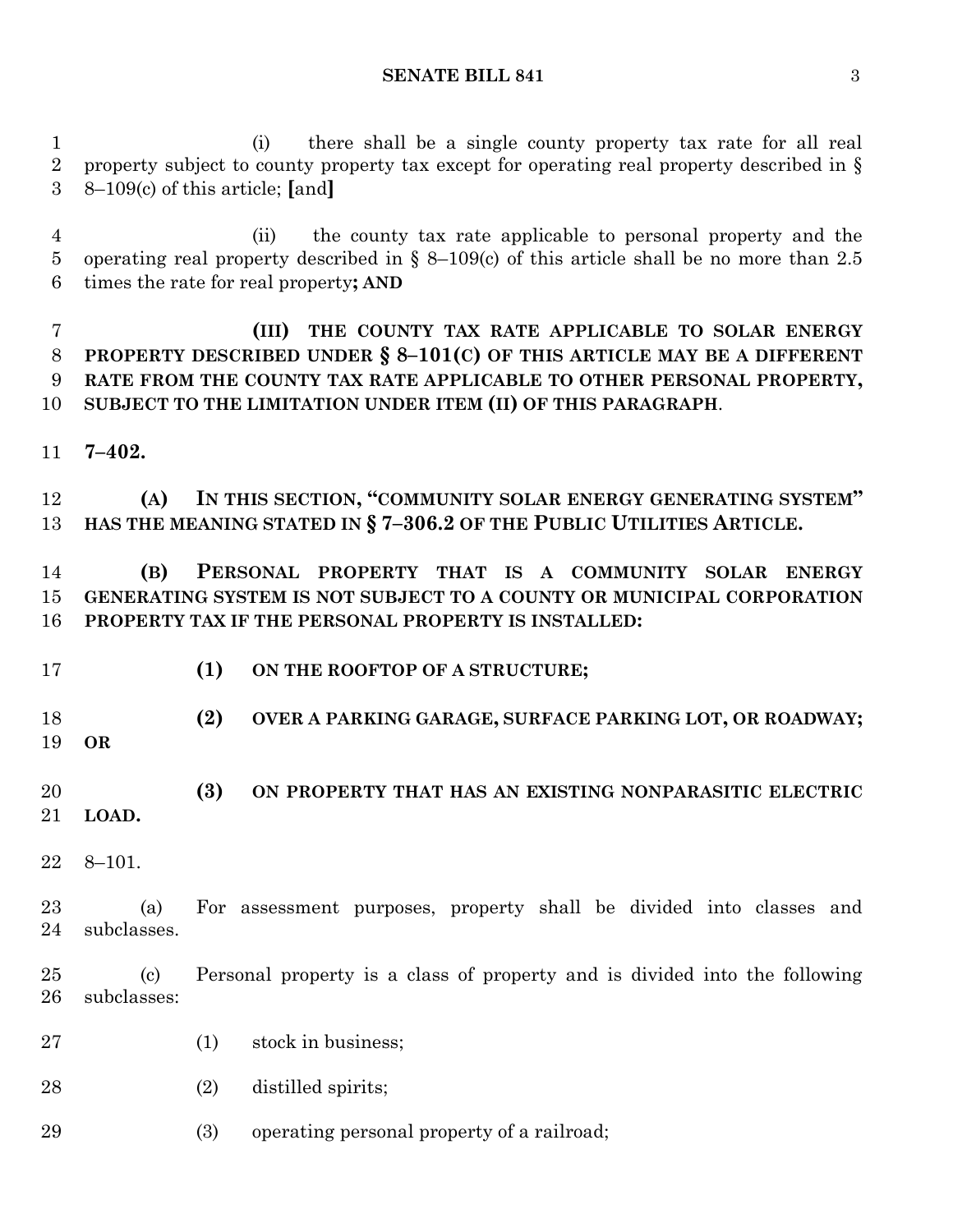(i) there shall be a single county property tax rate for all real property subject to county property tax except for operating real property described in § 8–109(c) of this article; **[**and**]**

 (ii) the county tax rate applicable to personal property and the operating real property described in § 8–109(c) of this article shall be no more than 2.5 times the rate for real property**; AND**

 **(III) THE COUNTY TAX RATE APPLICABLE TO SOLAR ENERGY PROPERTY DESCRIBED UNDER § 8–101(C) OF THIS ARTICLE MAY BE A DIFFERENT RATE FROM THE COUNTY TAX RATE APPLICABLE TO OTHER PERSONAL PROPERTY, SUBJECT TO THE LIMITATION UNDER ITEM (II) OF THIS PARAGRAPH**.

**7–402.**

 **(A) IN THIS SECTION, "COMMUNITY SOLAR ENERGY GENERATING SYSTEM" HAS THE MEANING STATED IN § 7–306.2 OF THE PUBLIC UTILITIES ARTICLE.**

 **(B) PERSONAL PROPERTY THAT IS A COMMUNITY SOLAR ENERGY GENERATING SYSTEM IS NOT SUBJECT TO A COUNTY OR MUNICIPAL CORPORATION PROPERTY TAX IF THE PERSONAL PROPERTY IS INSTALLED:**

- **(1) ON THE ROOFTOP OF A STRUCTURE;**
- **(2) OVER A PARKING GARAGE, SURFACE PARKING LOT, OR ROADWAY; OR**
- **(3) ON PROPERTY THAT HAS AN EXISTING NONPARASITIC ELECTRIC LOAD.**
- 8–101.

 (a) For assessment purposes, property shall be divided into classes and subclasses.

 (c) Personal property is a class of property and is divided into the following subclasses:

- 27 (1) stock in business;
- (2) distilled spirits;

(3) operating personal property of a railroad;

**SENATE BILL 841** 3